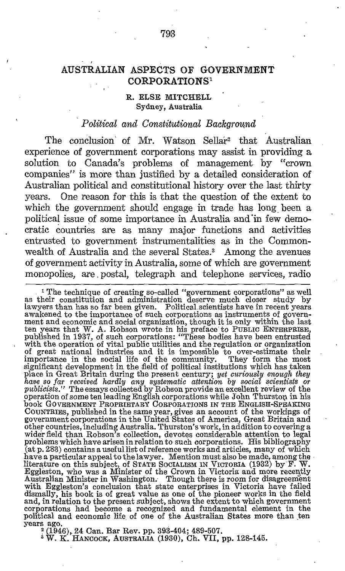# AUSTRALIAN ASPECTS OF GOVERNMENT CORPORATIONS"

#### R. ELSE MITCHELL Sydney, Australia

#### Political and Constitutional Background

The conclusion of Mr. Watson Sellar<sup>2</sup> that Australian experience of government corporations may assist in providing a solution to Canada's problems of management by "crown companies" is more than justified by a detailed consideration of Australian political and constitutional history over the last thirty years. One reason for this is that the question of the extent to which the government should engage in trade has long been a political issue of some importance in Australia and in few democratic countries are as many major functions and activities entrusted to government instrumentalities as in the Commonwealth of Australia and the several States.' Among the avenues of government activity in Australia, some of which are government monopolies, are, postal, telegraph and telephone services, radio

 $^{\rm 1}$  The technique of creating so-called "government corporations" as well as their constitution and administration deserve much closer study by as their constitution and administration deserve much closer study by<br>lawyers than has so far been given. Political scientists have in recent years<br>awakened to the importance of such corporations as instruments of govern-<br> of great national industries and it is impossible to over-estimate their<br>importance in the social life of the community. They form the most<br>significant development in the field of political institutions which has taken<br>pla COUNTRIES, published in the same year, gives an account of the workings of government corporations in the United States of America, Great Britain and other countries, including Australia. Thurston's work, in addition to covering a<br>wider field than Robson's collection, devotes considerable attention to legal<br>problems which have arisen in relation to such corporations. Hi have a particular appeal to the lawyer. Mention must also be made, among the literature on this subject, of STATE SOCIALISM IN VICTORIA (1932) by F. W. Eggleston, who was a Minister of the Crown in Victoria and more recent and, in relation to the present subject, shows the extent to which government corporations had become a recognized and fundamental element in the political and economic life. of one of the Australian States more than ten years ago.

(1946), 24 Can. Bar Rev. pp. 393-404; 489-507.

 $i$  W. K. HANCOCK, AUSTRALIA (1930), Ch. VII, pp. 128-145.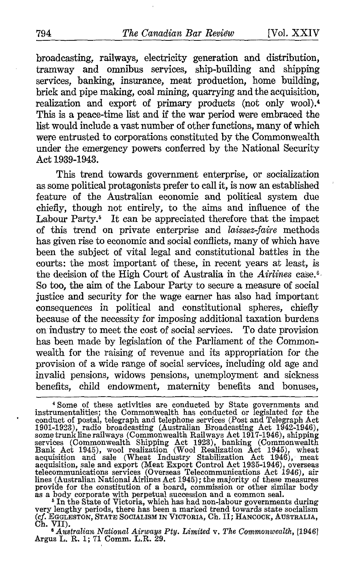broadcasting, railways, electricity generation and distribution, tramway and omnibus services, ship-building and shipping services, banking, insurance, meat production, home building, brick and pipe making, coal mining, quarrying and the acquisition, realization and export of primary products (not only wool).<sup>4</sup> This is a peace-time list and if the war period were embraced the list would include avast number of other functions, many of which were entrusted to corporations constituted by the Commonwealth under the emergency powers conferred by the National Security Act 1939-1943.

This trend towards government enterprise, or socialization as some political protagonists prefer to call it, is now an established feature of the Australian economic and political system due chiefly, though not entirely, to the aims and influence of the Labour Party.<sup>5</sup> It can be appreciated therefore that the impact of this trend on private enterprise and laissez-faire methods has given rise to economic and social conflicts, many of which have been the subject of vital legal and constitutional battles in the courts; the most important of these, in recent years at least, is the decision of the High Court of Australia in the Airlines case.<sup>6</sup>. So too, the aim of the Labour Party to secure a measure of social justice and security for the wage earner has also had important consequences in political and constitutional spheres, chiefly because of the necessity for imposing additional taxation burdens on industry to meet the cost of social services . To date provision has been made by legislation of the Parliament of the Commonwealth for the raising of revenue and its appropriation for the provision of a wide range of social services, including old age and invalid pensions, widows pensions, unemployment and sickness benefits, child endowment, maternity benefits and bonuses,

very lengthy periods, there has been a marked trend towards state socialism (Cf. EGGLESTON, STATE SOCIALISM IN VICTORIA, Ch. II; HANCOCK, AUSTRALIA, Ch. VII).

Australian National Airways Pty. Limited v. The Commonwealth, [1946] Argus L. R. <sup>1</sup> ; <sup>71</sup> Comm. L.R. 29.

<sup>4</sup> Some of these activities are conducted by State governments and instrumentalities ; the Commonwealth has conducted or legislated for the conduct of postal, telegraph and telephone services (Post and Telegraph Act 1901-1923), radio broadcasting (Australian Broadcasting Act 1942-1946), some trunk line railways (Commonwealth Railways Act 1917-1946), shipping Services (Commonwealth Shipping Act 1923), banking (Commonwealth Bank Act 19 telecommunications services (Overseas Telecommunications Act 1946), airlines (Australian National Airlines Act 1946); the majority of these measures provide for the constitution of a board, commission or other similar body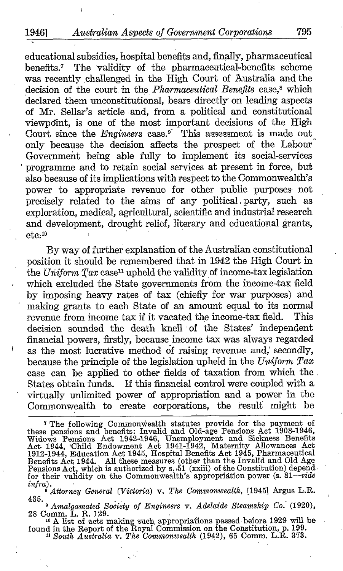educational subsidies, hospital benefits and, finally, pharmaceutical benefits .<sup>7</sup> The validity of the pharmaceutical-benefits scheme was recently challenged in the High Court of Australia and the decision of the court in the Pharmaceutical Benefits case,<sup>8</sup> which declared them unconstitutional, bears directly on leading aspects of Mr. Sellar's article,and, from a political and constitutional viewpdint, is one of the most important decisions of the High Court since the Engineers case.<sup>9</sup> This assessment is made out only because the decision affects the prospect of the Labour Government being able fully to implement its social-services programme and to retain social services at present in force, but also because of its implications with respect to the Commonwealth's power to appropriate revenue for other public purposes- not precisely related to the aims of any political , party, such as exploration, medical, agricultural, scientific and industrial research and development, drought relief, literary and educational grants,  $etc.<sup>10</sup>$ 

By way of further explanation of the Australian constitutional position it should be remembered that in 1942 the High Court in the Uniform  $Tax$  case<sup>11</sup> upheld the validity of income-tax legislation which excluded the State governments from the income-tax field by imposing heavy rates of tax (chiefly for war purposes) and making grants to each State of an amount equal to its normal revenue from income tax if it vacated the income-tax field. This revenue from income tax if it vacated the income-tax field. decision sounded the death knell of the States' independent financial powers, firstly, because income tax was always regarded as the most lucrative method ôf raising revenue and, secondly, because the principle of the legislation upheld in the  $Uniform$   $Tax$ case can be applied to other fields of taxation from which the, States obtain funds. If this financial control were coupled with a virtually unlimited power of appropriation and a power in the Commonwealth to create corporations, the result might be

m A list of acts making such, appropriations passed before 1929 will be<br>found in the Report of the Royal Commission on the Constitution, p. 199.

<sup>11</sup> South Australia v. The Commonwealth (1942), <sup>65</sup> Comm. L.R. 373.

<sup>&</sup>lt;sup>7</sup> The following Commonwealth statutes provide for the payment of these pensions and benefits: Invalid and Old-age Pensions Act 1908-1946, Widows Pensions Act 1944,  $\text{Act}$  1944, Child Endowment Act 1941-1942, Maternity Pensions Act, which is authorized by s. 51 (xxiii) of the Constitution) depend<br>for their validity on the Commonwealth's appropriation power (s. 81—vide infra) .

 $\frac{1}{8}$  Attorney General (Victoria) v. The Commonwealth, [1945] Argus L.R.

<sup>435.</sup> e Amalgamated Society of Engineers v. Adelaide Steamship Co. (1920), <sup>28</sup> Comm. L. R. 129.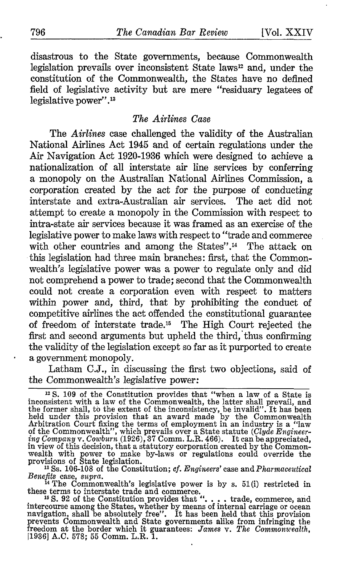disastrous to the State governments, because Commonwealth legislation prevails over inconsistent State laws<sup>12</sup> and, under the constitution of the Commonwealth, the States have no defined field of legislative activity but are mere "residuary legatees of legislative power".<sup>13</sup>

## The Airlines Case

The Airlines case challenged the validity of the Australian National Airlines Act 1945 and of certain regulations under the Air Navigation Act 1920-1936 which were designed to achieve a nationalization of all interstate air line services by conferring a monopoly on the Australian National Airlines Commission, a corporation created by the act for the purpose of conducting interstate and extra-Australian air services. The act did not attempt to create a monopoly in the Commission with respect to intra-state air services because it was framed as an exercise of the legislative power to make laws with respect to "trade and commerce with other countries and among the States".<sup>14</sup> The attack on this legislation had three main branches: first, that the Commonwealth's legislative power was a power to regulate only and did not comprehend a power to trade: second that the Commonwealth could not create a corporation even with respect to matters within power and, third, that by prohibiting the conduct of competitive airlines the act offended the constitutional guarantee of freedom of interstate trade." The High Court rejected the first and second arguments but upheld the third, 'thus confirming the validity of the legislation except so far as it purported to create a government monopoly.

Latham C.J., in discussing the first two objections, said of the Commonwealth's legislative power:

<sup>12</sup> S. 109 of the Constitution provides that "when a law of a State is<br>inconsistent with a law of the Commonwealth, the latter shall prevail, and<br>the former shall, to the extent of the inconsistency, be invalid." It has in view of this decision, that a statutory corporation created by the Common-<br>wealth with power to make by-laws or regulations could override the<br>provisions of State legislation.<br> $^{18}$ Ss. 106-108 of the Constitution; cf.

Benefits case, supra.<br>
<sup>14</sup> The Commonwealth's legislative power is by s. 51(i) restricted in

these terms to interstate trade and commerce.<br>
<sup>15</sup> S. 92 of the Constitution provides that ". . . . trade, commerce, and intercourse among the States, whether by means of internal carriage or ocean navigation, shall be absolutely free". It has been held that this provision prevents Commonwealth and State governments alike from infringing the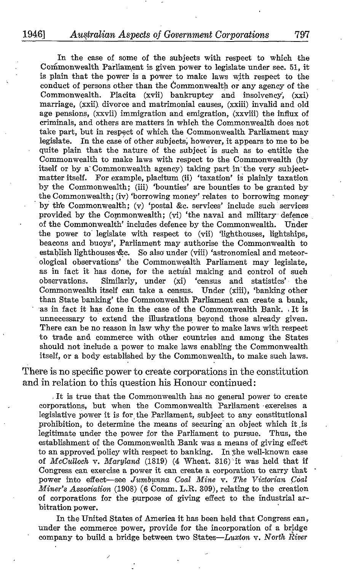In the case of some of the subjects with respect to which the Commonwealth Parliament is given power to legislate under sec . 51, it is plain that the power is a power to make laws with respect to the conduct of persons other than the Commonwealth or any agency of the Commonwealth. Placita (xvii) bankruptcy and insolvency. (xxi) Placita (xvii) bankruptcy and insolvency', (xxi) marriage, (xxii). divorce and matrimonial causes, (xxiii) invalid and old age pensions, (xxvii) immigration and emigration, (xxviii) the influx of criminal's, and others are matters in which the Commonwealth does not take part, but in respect of which the Commonwealth Parliament may legislate. In the case of other subjects, however, it appears to me to be In the case of other subjects, however, it appears to me to be quite plain that the nature of the subject is such as to entitle the Commonwealth to make laws with respect to the Commonwealth (by itself or by a Commonwealth agency) taking part in the very subjectmatter itself. For example, placitum (ii) 'taxation' is plainly taxation by the Commonwealth; (iii) 'bounties' are bounties to be granted by the Commonwealth; (iv) 'borrowing money' relates to borrowing money by the Commonwealth; (v) 'postal &c. services' include such services provided by the Commonwealth; (vi) 'the naval and military defence of the Commonwealth' includes defence by the Commonwealth. Under the power to legislate with respect to (vii) 'lighthouses, lightships, beacons and buoys', Parliament may authorise the Commonwealth to establish lighthouses  $\&c.$  So also under (viii) 'astronomical and meteorological observations' the Commonwealth Parliament may legislate, as in fact it has done, for the actual making and control of such observations. Similarly, under  $(xi)$  'census and statistics' the Similarly, under (xi) 'census and statistics' the Commonwealth itself can take a census. Under (xiii), 'banking other than State banking' the Commonwealth Parliament can create a bank, as in fact it has done in the case of the Commonwealth Bank. <sup>~</sup> It is unnecessary to extend the illustrations beyond those already given. There can be no reason in law why the power to make laws with respect to trade and commerce with other countries and among the States should not include a power to make laws enabling the Commonwealth itself, or a body established by the Commonwealth, to make such laws.

There is no specific power to create corporations in the constitution and in relation to this question his Honour continued :

It is true that the Commonwealth has no general power to create corporations, but when the Commonwealth Parliament exercises a legislative power it is for the Parliament, subject to any constitutional prohibition, to determine the means of securing an object which it is<br>legitimate under the power for the Parliament to pursue. Thus, the legitimate under the power for the Parliament to pursue. establishment of the Commonwealth Bank was a means of giving effect to an approved policy with respect to banking. In the well-known case of McCulloch v. Maryland (1819) (4 Wheat. 316) it was held that if Congress can exercise a power it can create a corporation to carry that power into effect-see Jumbunna Coal Mine v. The Victorian Coal Miner's Association (1908) (6 Comm. L.R. 309), relating to the creation of corporations for the purpose of giving effect to the industrial arbitration power.

In the United States of America it has been held that Congress can, under the commerce power, provide for the incorporation of a bridge company to build a bridge between two States-Luxton v. North River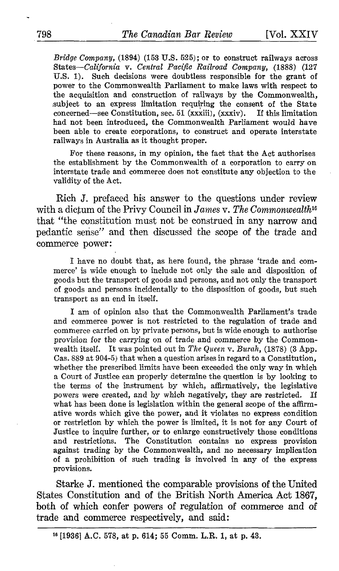Bridge Company,  $(1894)$   $(153 \text{ U.S. } 525)$ ; or to construct railways across States-California v. Central Pacific Railroad Company, (1888) (127 U.S. 1). Such decisions were doubtless responsible for the grant of power to the Commonwealth Parliament to make laws with respect to the acquisition and construction of railways by the Commonwealth, subject to an express limitation requiring the consent of the State concerned—see Constitution, sec. 51  $(xxxiii)$ ,  $(xxxiv)$ . If this limitation concerned-see Constitution, sec. 51 (xxxiii), (xxxiv). had not been introduced, the Commonwealth Parliament would have been able to create corporations, to construct and operate interstate railways in Australia as it thought proper.

For these reasons, in my opinion, the fact that the Act authorises the establishment by the Commonwealth of a corporation to carry on interstate trade and commerce does not constitute any objection to the validity of the Act.

Rich J. prefaced his answer to the questions under review with a dictum of the Privy Council in James v. The Commonwealth<sup>16</sup> that "the constitution must not be construed in any narrow and pedantic sense" and then discussed the scope of the trade and commerce power :

I have no doubt that, as here found, the phrase 'trade and commerce' is wide enough to include not only the sale and disposition of goods but the transport of goods and persons, and not only the transport of goods and persons incidentally to the disposition of goods, but such transport as an end in itself.

<sup>I</sup> am of opinion also that the Commonwealth Parliament's trade and commerce power is not restricted to the regulation of trade and commerce carried on by private persons, but is wide enough to authorise provision for the carrying on of trade and commerce by the Commonwealth itself. It was pointed out in The Queen v. Burah,  $(1878)$  (3 App. Cas. 889 at 904-5) that when a question arises in regard to a Constitution, whether the prescribed limits have been exceeded the only way in which a Court of Justice can properly determine the question is by looking to the terms of the instrument by which, affirmatively, the legislative powers were created, and by which negatively, they are restricted. If powers were created, and by which negatively, they are restricted. what has been done is legislation within the general scope of the affirmative words which give the power, and it violates no express condition or restriction by which the power is limited, it is not for any Court of Justice to inquire further, or to enlarge constructively those conditions and restrictions. The Constitution contains no express provision against trading by the Commonwealth, and no necessary implication of a prohibition of such trading is involved in any of the express provisions.

Starke J. mentioned the comparable provisions of the United States Constitution and of the British North America Act 1867, both of which confer powers of regulation of commerce and of trade and commerce respectively, and said :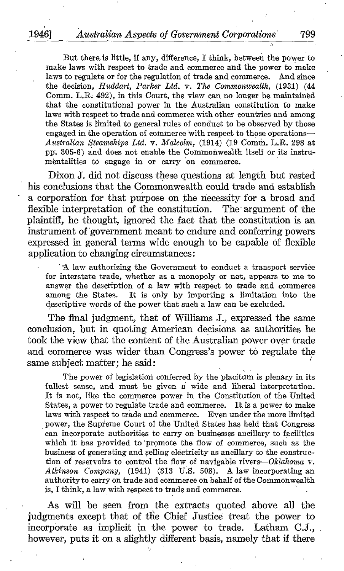But there is little, if any, difference, I think, between the power to make laws with respect to trade and commerce and the power to make laws to regulate or for the regulation of trade and commerce . And since the decision, Huddart, Parker Ltd. v. The Commonwealth, (1931) (44 Comm. L.R. 492), in this Court, the view can no longer be maintained that the constitutional power in the Australian constitution to make laws with respect to tradeand commerce with other countries and among the States is limited to general rules of conduct to be observed by those engaged in the operation of commerce with respect to those operations-Australian Steamships Ltd. v. Malcolm, (1914) (19 Comm. L.R. <sup>298</sup> at pp. 305-6) and does not enable the Commonwealth itself or its instruméntalities to engage in or carry on commerce.

Dixon J. did not discuss these questions at length but rested his conclusions that the Commonwealth could trade and establish a corporation for that purpose on the necessity for a broad and flexible interpretation of the constitution. The argument of the flexible interpretation of the constitution. plaintiff, he thought, ignored the fact that the constitution is an instrument of government meant to endure and conferring powers expressed in general terms wide enough to be capable of flexible application to changing circumstances :

A law authorizing the Government to conduct a transport service for interstate trade, whether as <sup>a</sup> monopoly or not, appears to me to answer the description of a law with respect to trade and commerce among the States. It is only by importing a limitation into the It is only by importing a limitation into the descriptive words of the power that such a law can be excluded.

The final judgment, that of Williams J., expressed the same conclusion, but in quoting American decisions as authorities he took the view that the content of the Australian power over trade and commerce was wider than Congress's power to regulate the same subject matter; he said :

The power of legislation conferred by the placitum is plenary in its fullest sense, and must be given a wide and liberal interpretation. It is not, like the commerce power in the Constitution of the United States, a power to regulate trade and commerce. It is a power to make laws with respect to trade and commerce. Even under the more limited power, the Supreme Court of the United States has held that Congress can incorporate authorities to carry on businesses ancillary to facilities which it has provided to promote the flow of commerce, such as the business of generating and §elling electricity as ancillary to the construction of reservoirs to control the flow of navigable rivers-Oklahoma v. Atkinson Company,  $(1941)$   $(313 \text{ U.S. } 508)$ . A law incorporating an authority to carry on trade and commerce on behalf of the Commonwealth is, I think, a law with respect to trade and commerce .

As will be seen from the extracts quoted above all the judgments except that of the Chief Justice treat the power to incorporate as implicit in the power to trade. Latham C.J., however, puts it on a slightly different basis, namely that if there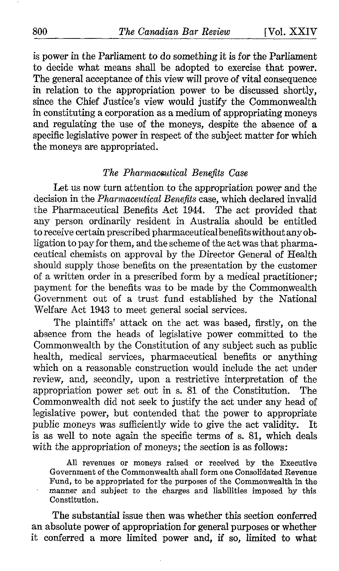is power in the Parliament to do something it is for the Parliament to decide what means shall be adopted to exercise that power. The general acceptance of this view will prove of vital consequence in relation to the appropriation power to be discussed shortly, since the Chief Justice's view would justify the Commonwealth in constituting a corporation as a medium of appropriating moneys and regulating the use of the moneys, despite the absence of a specific legislative power in respect of the subject matter for which the moneys are appropriated.

## The Pharmaceutical Benefits Case

Let us now turn attention to the appropriation power and the decision in the Pharmaceutical Benefits case, which declared invalid the Pharmaceutical Benefits Act 1944. The act provided that any person ordinarily resident in Australia should be entitled to receive certain prescribed pharmaceutical benefits without anyobligation to pay for them, and the scheme of the act was that pharmaceutical chemists on approval by the Director General of Health should supply those benefits on the presentation by the customer of a written order in a prescribed form by a medical practitioner; payment for the benefits was to be made by the Commonwealth Government out of a trust fund established by the National Welfare Act 1943 to meet general social services .

The plaintiffs' attack on the act was based, firstly, on the absence from the heads of legislative power committed to the Commonwealth by the Constitution of any subject such as public health, medical services, pharmaceutical benefits or anything which on a reasonable construction would include the act under review, and, secondly, upon a restrictive interpretation of the appropriation power set out in s. 81 of the Constitution. The Commonwealth did not seek to justify the act under any head of legislative power, but contended that the power to appropriate public moneys was sufficiently wide to give the act validity. It public moneys was sufficiently wide to give the act validity. is as well to note again the specific terms of s. 81, which deals with the appropriation of moneys; the section is as follows:

All revenues or moneys raised or received by the Executive Government of the Commonwealth shall form one Consolidated Revenue Fund, to be appropriated for the purposes of the Commonwealth in the manner and subject to the charges and liabilities imposed by this Constitution.

The substantial issue then was whether this section conferred an absolute power of appropriation for general purposes or whether it conferred a more limited power and, if so, limited to what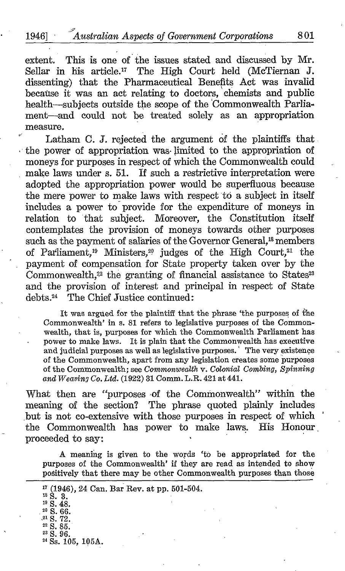extent. This is one of the issues stated and discussed by Mr. Sellar in his article.<sup>17</sup> The High Court held (McTiernan J. dissenting) that the Pharmaceutical Benefits Act was invalid because it was an act relating to doctors, chemists and public health-subjects outside the scope of the 'Commonwealth Parliament-and could not be treated solely as an appropriation measure.

Latham C. J. rejected the argument of the plaintiffs that the power of appropriation was-limited to the appropriation of moneys for purposes in respect of which the Commonwealth could make laws under s. 51. If such a restrictive interpretation were adopted the appropriation power would be superfluous because the mere power to make laws with respect to a subject in itself includes a power to provide for the expenditure of moneys in relation to that subject. Moreover, the Constitution itself contemplates the provision of moneys towards other purposes such as the payment of salaries of the Governor General,<sup>18</sup> members of Parliament,<sup>19</sup> Ministers,<sup>20</sup> judges of the High Court,<sup>21</sup> the payment of compensation for State property taken over by the Commonwealth, $2<sup>2</sup>$  the granting of financial assistance to States $2<sup>3</sup>$ and the provision of interest and principal in respect of State debts.<sup>24</sup> The Chief Justice continued:

It was argued for the plaintiff that the phrase 'the purposes of the Commonwealth' in s. 81 refers to legislative purposes of the Commonwealth, that is, purposes for which the Commonwealth Parliament has power to make laws. It is plain that the Commonwealth has executive and judicial purposes as well as legislative purposes. The very existence of the Commonwealth, apart from any legislation creates some purposes of the Commonwealth; see Commonwealth v. Colonial Combing, Spinning and  $Weaving Co. Ltd. (1922) 31$  Comm. L.R. 421 at 441.

What then are "purposes of the Commonwealth" within the meaning of the section? The phrase quoted plainly includes but is not co-extensive with those purposes in respect of which the Commonwealth has power to make laws. His Honour . proceeded to say:

A meaning is given to the words 'to be appropriated for the purposes of the Commonwealth' if they are read as intended to show positively that there may be other Commonwealth purposes than those

<sup>24</sup> Ss. 105, 105A.

 $\frac{17}{18}$  (1946), 24 Can. Bar Rev. at pp. 501-504.<br> $\frac{18}{18}$  S.  $19$  S. 48.  $20$  S. 66. ,21 S. 72. <sup>22</sup> S. 85. <sup>23</sup> S. 96.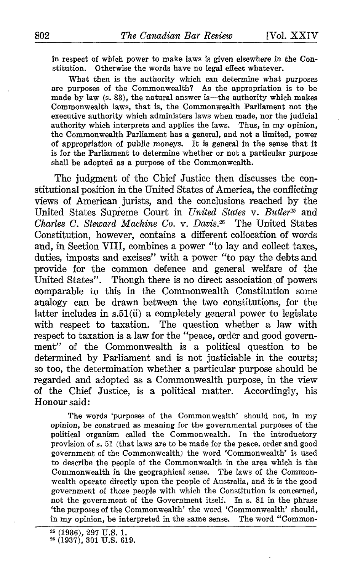in respect of which power to make laws is given elsewhere in the Constitution. Otherwise the words have no legal effect whatever. Otherwise the words have no legal effect whatever.

What then is the authority which can determine what purposes are purposes of the Commonwealth? As the appropriation is to be made by law (s. 83), the natural answer is—the authority which makes Commonwealth laws, that is, the Commonwealth Parliament not the executive authority which administers laws when made, nor the judicial authority which interprets and applies the laws. Thus, in my opinion, the Commonwealth Parliament has a general, and not a limited, power of appropriation of public moneys. It is general in the sense that it is for the Parliament to determine whether or not a particular purpose shall be adopted as a purpose of the Commonwealth.

The judgment of the Chief Justice then discusses the constitutional position in the United States of America, the conflicting views of American jurists, and the conclusions reached by the United States Supreme Court in United States v. Butler<sup>25</sup> and Charles C. Steward Machine Co. v. Davis.<sup>26</sup> The United States  $Charles C. Stewartd Machine Co. v. Davis.<sup>26</sup>$ Constitution, however, contains a different collocation of words and, in Section VIII, combines a power "to lay and collect taxes, duties, imposts and excises" with a power "to pay the debts and provide for the common defence and general welfare of the United States". Though there is no direct association of powers comparable to this in the Commonwealth Constitution some analogy can be drawn between the two constitutions, for the latter includes in s.51(ii) a completely general power to legislate with respect to taxation. The question whether a law with respect to taxation is a law for the "peace, order and good government" of the Commonwealth is a political question to be determined by Parliament and is not justiciable in the courts; so too, the determination whether a particular purpose should be regarded and adopted as a Commonwealth purpose, in the view of the Chief Justice, is a political matter. Accordingly, his Honour said :

The words 'purposes of the Commonwealth' should not, in my opinion, be construed as meaning for the governmental purposes of the political organism called the Commonwealth. In the introductory provision of s. <sup>51</sup> (that laws are to be made for the peace, order and good government of the Commonwealth) the word `Commonwealth' is used to describe the people of the Commonwealth in the area which is the Commonwealth in the geographical sense. The laws of the Commonwealth operate directly upon the people of Australia, and it is the good government of those people with which the Constitution is concerned, not the government of the Government itself. In s. 81 in the phrase `the purposes of the Commonwealth' the word `Commonwealth' should, in my opinion, be interpreted in the same sense. The word "Common-

<sup>&</sup>lt;sup>25</sup> (1936), 297 U.S. 1.<br><sup>26</sup> (1937), 301 U.S. 619.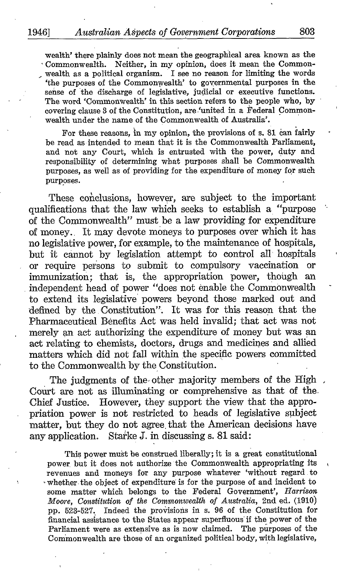wealth' there plainly does not mean the geographical area known as the Commonwealth. Neither, in my opinion, does it mean the Commonwealth as a political organism. I see no reason for limiting the words `the purposes of the Commonwealth' to governmental purposes in the sense of the discharge of legislative, judicial or executive functions. The word 'Commonwealth' in this section refers to the people who, by covering clause 3 of the Constitution, are 'united in a Federal Commonwealth under the name of the Commonwealth of Australia'.

For these reasons, in my opinion, the provisions of s. <sup>81</sup> can fairly be read as intended to mean that it is the Commonwealth Parliament, and not any Court, which is entrusted with the power, duty and responsibility of determining what purposes shall be Commonwealth purposes, as well as of providing for the expenditure of money for such purposes. .

These conclusions, however, are subject to the important qualifications that the law which seeks to establish a "purpose of the Commonwealth" must be a law providing for expenditure of money. It may devote moneys to purposes over which it has no legislative power, for example, to the maintenance of hospitals, but it cannot by legislation attempt to control all hospitals or require persons to submit to compulsory vaccination or immunization; that is, the appropriation power, though an independent head of power "does not enable the Commonwealth to extend its legislative powers beyond those marked out and defined by the Constitution". It was for this reason that the Pharmaceutical Benefits Act was held invalid; that act was not merely an act authorizing the expenditure of money but was an act relating to chemists, doctors, drugs and medicines and allied matters which did not fall within the specific powers committed to the Commonwealth by the Constitution.

The judgments of the other majority members of the High, Court are not as illuminating or comprehensive as that of the. Chief Justice. However, they support the view that the appro priation power is not restricted to heads of legislative subject matter, but they do not agree that the American decisions have any application. Starke J. in discussing s. 81 said:

This power must be construed liberally; it is a great constitutional power but it does not authorize the Commonwealth appropriating its revenues and moneys for any purpose whatever 'without regard\_ to whether the object of expenditure' is for the purpose of and incident to some matter which belongs to the Federal Government', Harrison Moore, Constitution of the Commonwealth of Australia, 2nd ed. (1910) pp. 523-527. Indeed the provisions in s. 96 of the Constitution for financial assistance to the States appear superfluous if the power of the Parliament were as extensive as is now claimed. Commonwealth are those of an organized political body, with legislative,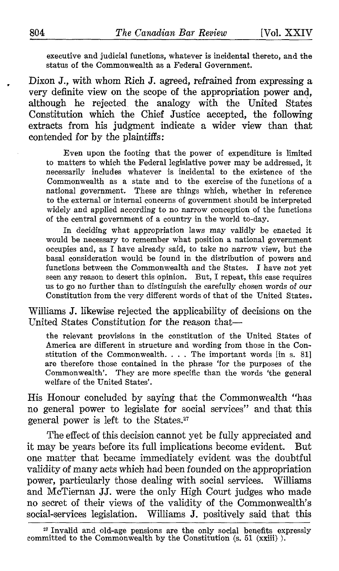executive and judicial functions, whatever is incidental thereto, and the status of the Commonwealth as a Federal Government.

Dixon J., with whom Rich J. agreed, refrained from expressing a very definite view on the scope of the appropriation power and, although he rejected the analogy with the United States Constitution which the Chief Justice accepted, the following extracts from his judgment indicate a wider view than that contended for by the plaintiffs :

Even upon the footing that the power of expenditure is limited to matters to which the Federal legislative power may be addressed, it necessarily includes whatever is incidental to the existence of the Commonwealth as a state and to the exercise of the functions of a national government. These are things which, whether in reference to the external or internal concerns of government should be interpreted widely and applied according to no narrow conception of the functions of the central government of a country in the world to-day.

In deciding what appropriation laws may validly be enacted it would be necessary to remember what position a national government occupies and, as I have already said, to take no narrow view, but the basal consideration would be found in the distribution of powers and functions between the Commonwealth and the States. I have not yet seen any reason to desert this opinion. But, I repeat, this case requires us to go no further than to distinguish the carefully chosen words of our Constitution from the very different words of that of the United States.

Williams J. likewise rejected the applicability of decisions on the United States Constitution for the reason that-

the relevant provisions in the constitution of the United States of America are different in structure and wording from those in the Constitution of the Commonwealth. . . . The important words [in s. 81] are therefore those contained in the phrase 'for the purposes of the Commonwealth'. They are more specific than the words 'the general welfare of the United States'.

His Honour concluded by saying that the Commonwealth "has no general power to legislate for social services" and that this general power is left to the States ."

The effect of this decision cannot yet be fully appreciated and it may be years before its full implications become evident. But one matter that became immediately evident was the doubtful validity of many acts which had been founded on the appropriation power, particularly those dealing with social services. Williams and McTiernan JJ. were the only High Court judges who made no secret of their views of the validity of the Commonwealth's social-services legislation. Williams J. positively said that this

zr Invalid and old-age pensions are the only social benefits expressly committed to the Commonwealth by the Constitution (s. 51 (xxiii)).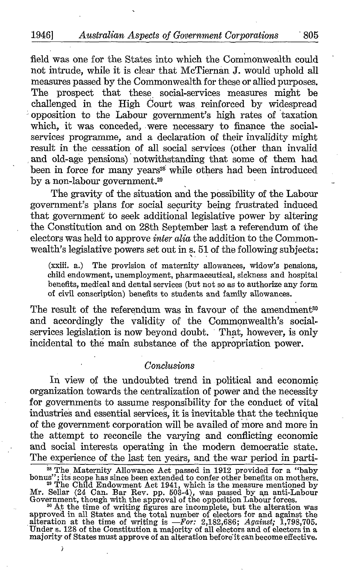field was one for the States into which the Commonwealth could not intrude, while it is clear that McTiernan J. would uphold all measures passed by the Commonwealth for these or allied purposes. The prospect that these social-services measures might be challenged in the High Court was reinforced by widespread opposition to the Labour government's high rates of taxation which, it was conceded, were necessary to finance the socialservices programme, and a declaration of their invalidity might result in the cessation of all social services (other than invalid and old-age pensions) notwithstanding that some of them had been in force for many years<sup>28</sup> while others had been introduced by a non-labour government. $29$ 

The gravity of the situation and the possibility of the Labour government's plans for social security being frustrated induced that government to seek additional legislative power by altering the Constitution and on 28th September last a referendum of the electors was held to approve *inter alia* the addition to the Commonwealth's legislative powers set out in s. 51 of the following subjects:

(xxiii. a.) The provision of maternity allowances, widow's pensions, child endowment, unemployment, pharmaceutical, sickness and hospital benefits, medical and dental services (but not so as to authorize any form of civil conscription) benefits to students and family allowances.

The result of the referendum was in favour of the amendment<sup>30</sup> and accordingly the validity of the Commonwealth's social. services legislation is now beyond doubt. That, however, is only incidental to the main substance of the appropriation power.

## Conclusions

In view of the undoubted trend in political and economic organization towards the centralization of power and the necessity for governments to assume responsibility for the conduct of vital industries and essential services, it is inevitable that the technique of the government corporation will be availed of more and more in the attempt to reconcile the varying and conflicting economic and social interests operating in the modern democratic state.<br>The experience of the last ten vears, and the war period in parti-The experience of the last ten years, and the war period in parti-

<sup>&</sup>lt;sup>24</sup> The Maternity Allowance Act passed in 1912 provided for a "baby<br>bonus"; its scope has since been extended to confer other benefits on mothers.<br><sup>29</sup> The Child Endowment Act 1941, which is the measure mentioned by<br>Mr. S

<sup>&</sup>lt;sup>30</sup> At the time of writing figures are incomplete, but the alteration was approved in all States and the total number of electors for and against the alteration at the time of writing is  $-For$ : 2,182,686; *Against*; 1,798 majority of States must approve of an alteration beforèit canbecome effective.